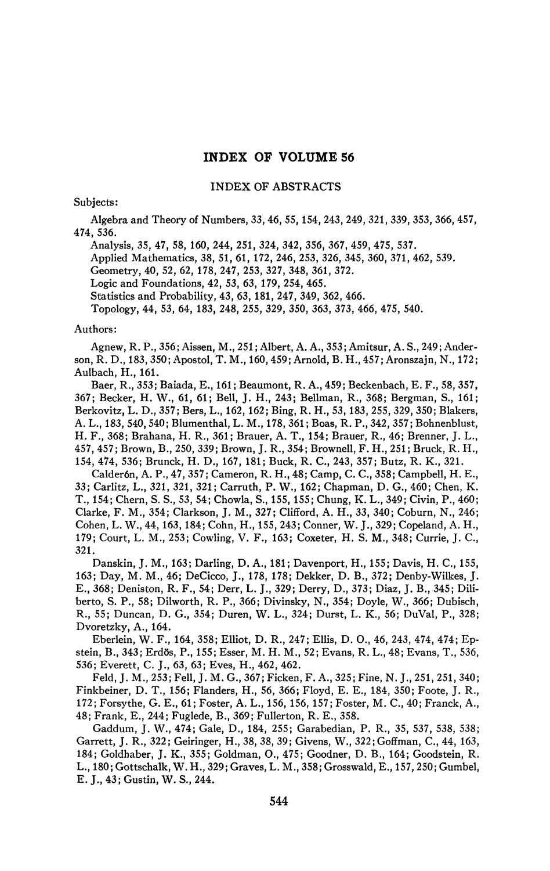# **INDEX OF VOLUME 56**

#### INDEX OF ABSTRACTS

# Subjects:

Algebra and Theory of Numbers, *33,* 46, 55, 154, 243, 249, 321, 339, 353, 366, 457, 474, 536.

Analysis, 35, 47, 58, 160, 244, 251, 324, 342, 356, 367, 459, 475, 537.

Applied Mathematics, *38,* 51, 61, 172, 246, 253, 326, 345, 360, 371, 462, 539.

Geometry, 40, 52, 62, 178, 247, 253, 327, 348, 361, 372.

Logic and Foundations, 42, 53, *63,* 179, 254, 465.

Statistics and Probability, 43, 63, 181, 247, 349, 362, 466.

Topology, 44, 53, 64, 183, 248, 255, 329, 350, 363, 373, 466, 475, 540.

### Authors:

Agnew, R. P., 356; Aissen, M., 251 ; Albert, A. A., 353; Amitsur, A. S., 249; Anderson, R. D., 183, 350; Apostol, T. M., 160,459; Arnold, B. H., 457; Aronszajn, N., 172; Aulbach, H., 161.

Baer, R., 353; Baiada, E., 161 ; Beaumont, R. A., 459; Beckenbach, E. F., 58, 357, 367; Becker, H. W., 61, 61; Bell, J. H., 243; Bellman, R., 368; Bergman, S., 161; Berkovitz, L. D., 357; Bers, L., 162, 162; Bing, R. H., 53, 183, 255, 329, 350; Blakers, A. L., 183, 540,540; Blumenthal, L. M., 178, 361 ; Boas, R. P., 342, 357; Bohnenblust, H. F., 368; Brahana, H. R., 361; Brauer, A. T., 154; Brauer, R., 46; Brenner, J. L., 457, 457; Brown, B., 250, 339; Brown, J. R., 354; Brownell, F. H., 251; Bruck, R. H., 154, 474, 536; Brunck, H. D., 167, 181; Buck, R. C, 243, 357; Butz, R. K., 321.

Calderón, A. P., 47, 357; Cameron, R. H., 48; Camp, C. C, 358; Campbell, H. E., 33; Carlitz, L., 321, 321, 321; Carruth, P. W., 162; Chapman, D. G., 460; Chen, K. T., 154; Chern, S. S., 53, 54; Chowla, S., 155, 155; Chung, K. L., 349; Civin, P., 460; Clarke, F. M., 354; Clarkson, J. M., 327; Clifford, A. H., 33, 340; Coburn, N., 246; Cohen, L. W., 44,163,184; Cohn, H., 155, 243; Conner, W. J., 329; Copeland, A. H., 179; Court, L. M., 253; Cowling, V. F., 163; Coxeter, H. S. M., 348; Currie, J. C, 321.

Danskin, J. M., 163; Darling, D. A., 181; Davenport, H., 155; Davis, H. C, 155, 163; Day, M. M., 46; DeCicco, J., 178, 178; Dekker, D. B., 372; Denby-Wilkes, J. E., 368; Deniston, R. F., 54; Derr, L. J., 329; Derry, D., 373; Diaz, J. B., 345; Diliberto, S. P., 58; Dilworth, R. P., 366; Divinsky, N., 354; Doyle, W., 366; Dubisch, R., 55; Duncan, D. G., 354; Duren, W. L., 324; Durst, L. K., 56; DuVal, P., 328; Dvoretzky, A., 164.

Eberlein, W. F., 164, 358; Elliot, D. R., 247; Ellis, D. O., 46, 243, 474, 474; Epstein, B., 343; Erdös, P., 155; Esser, M. H. M., 52; Evans, R. L., 48; Evans, T., 536, 536; Everett, C. J., 63, 63; Eves, H., 462, 462.

Feld, J. M., 253; Fell, J. M. G., 367; Ficken, F. A., 325; Fine, N. J., 251, 251, 340; Finkbeiner, D. T., 156; Flanders, H., 56, 366; Floyd, E. E., 184, 350; Foote, J. R., 172; Forsythe, G. E., 61; Foster, A. L., 156, 156, 157; Foster, M. C, 40; Franck, A., 48; Frank, E., 244; Fuglede, B., 369; Fullerton, R. E., 358.

Gaddum, J. W., 474; Gale, D., 184, 255; Garabedian, P. R., 35, 537, 538, 538; Garrett, J. R., 322; Geiringer, H., 38, *38,* 39; Givens, W., 322;Goffman, C, 44, 163, 184; Goldhaber, J. K., 355; Goldman, O., 475; Goodner, D. B., 164; Goodstein, R. L., 180; Gottschalk, W. H., 329; Graves, L. M., 358; Grosswald, E., 157, 250; Gumbel, E.J.,43;Gustin,W.S.,244.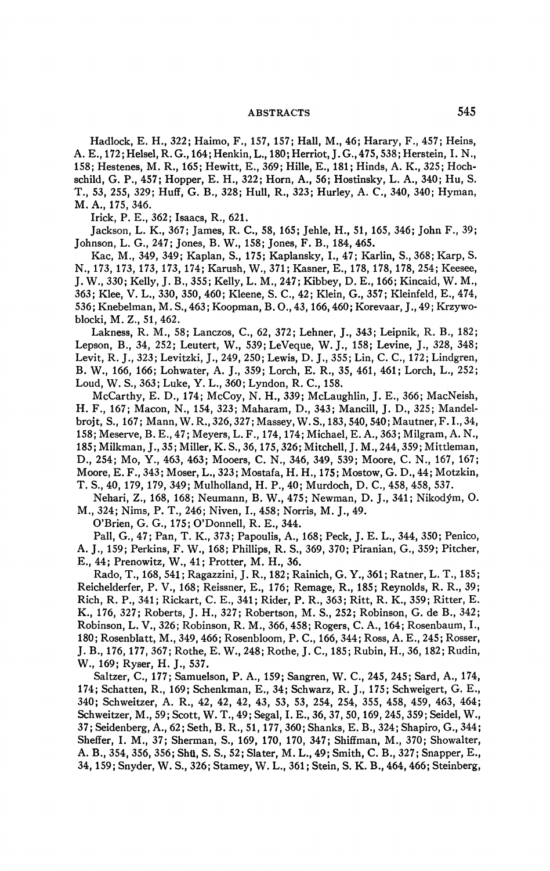# **ABSTRACTS** 545

Hadlock, E. H., 322; Haimo, F., 157, 157; Hall, M., 46; Harary, F., 457; Heins, A. E., 172;Helsel, R. G., 164;Henkin, L., 180; Herriot, J.G.,475,538; Herstein, I. N., 158; Hestenes, M. R., 165; Hewitt, E., 369; Hille, E., 181; Hinds, A. K., 325; Hochschild, G. P., 457; Hopper, E. H., 322; Horn, A., 56; Hostinsky, L. A., 340; Hu, S. T., 53, 255, 329; Huff, G. B., 328; Hull, R., 323; Hurley, A. C, 340, 340; Hyman, M. A., 175, 346.

Irick, P. E., 362; Isaacs, R., 621.

Jackson, L. K., 367; James, R. C., 58, 165; Jehle, H., 51, 165, 346; John F., 39; Johnson, L. G., 247; Jones, B. W., 158; Jones, F. B., 184, 465.

Kac, M., 349, 349; Kaplan, S., 175; Kaplansky, I., 47; Karlin, S., 368; Karp, S. N., 173, 173, 173, 173, 174; Karush, W., 371; Kasner, E., 178, 178, 178, 254; Keesee, J. W., 330; Kelly, J. B., 355; Kelly, L. M., 247; Kibbey, D. E., 166; Kincaid, W. M., 363; Klee, V. L., 330, 350, 460; Kleene, S. C, 42; Klein, G., 357; Kleinfeld, E., 474, 536; Knebelman, M.S.,463; Koopman, B.O.,43,166,460; Korevaar, J.,49; Krzywoblocki, M.Z., 51,462.

Lakness, R. M., 58; Lanczos, C, 62, 372; Lehner, J., 343; Leipnik, R. B., 182; Lepson, B., 34, 252; Leutert, W., 539;LeVeque, W. J., 158; Levine, J., 328, 348; Levit, R. J., 323; Levitzki, J., 249, 250; Lewis, D. J., 355; Lin, C. C, 172; Lindgren, B. W., 166, 166; Lohwater, A. J., 359; Lorch, E. R., 35, 461, 461; Lorch, L., 252; Loud, W. S., 363; Luke, Y. L., 360; Lyndon, R. C., 158.

McCarthy, E. D., 174; McCoy, N. H., 339; McLaughlin, J. E., 366; MacNeish, H. F., 167; Macon, N., 154, 323; Maharam, D., 343; Mancill, J. D., 325; Mandelbrojt, S., 167; Mann, W. R., 326, 327; Massey, W. S., 183, 540, 540; Mautner, F. I., 34, 158; Meserve, B. E., 47; Meyers, L. F., 174,174; Michael, E. A., 363; Milgram, A. N., 185; Milkman, J., 35; Miller, K. S., 36,175,326; Mitchell, J. M., 244,359; Mittleman, D., 254; Mo, Y., 463, 463; Mooers, C. N., 346, 349, 539; Moore, C. N., 167, 167; Moore, E. F., 343; Moser, L., 323; Mostafa, H. H., 175; Mostow, G. D., 44; Motzkin, T. S., 40, 179, 179, 349; Mulholland, H. P., 40; Murdoch, D. C, 458, 458, 537.

Nehari, Z., 168, 168; Neumann, B. W., 475; Newman, D. J., 341; Nikod^m, O. M., 324; Nims, P. T., 246; Niven, I., 458; Norris, M. J., 49.

O'Brien, G. G., 175; O'Donnell, R. E., 344.

Pall, G., 47; Pan, T. K., 373; Papoulis, A., 168; Peck, J. E. L., 344, 350; Penico, A. J., 159; Perkins, F. W., 168; Phillips, R. S., 369, 370; Piranian, G., 359; Pitcher, E., 44; Prenowitz, W., 41; Protter, M. H., 36.

Rado, T., 168, 541 ; Ragazzini, J. R., 182; Rainich, G. Y., 361; Ratner, L. T., 185; Reichelderfer, P. V., 168; Reissner, E., 176; Remage, R., 185; Reynolds, R. R., 39; Rich, R. P., 341; Rickart, C. E., 341; Rider, P. R., 363; Ritt, R. K., 359; Ritter, E. K., 176, 327; Roberts, J. H., 327; Robertson, M. S., 252; Robinson, G. de B., 342; Robinson, L. V., 326; Robinson, R. M., 366, 458; Rogers, C. A., 164; Rosenbaum, I., 180; Rosenblatt, M., 349, 466; Rosenbloom, P. C, 166, 344; Ross, A. E., 245; Rosser, J. B., 176,177, 367; Rothe, E. W., 248; Rothe, J. C, 185; Rubin, H., 36, 182; Rudin, W., 169; Ryser, H. J., 537.

Saltzer, C, 177; Samuelson, P. A., 159; Sangren, W. C, 245, 245; Sard, A., 174, 174; Schatten, R., 169; Schenkman, E., 34; Schwarz, R. J., 175; Schweigert, G. E., 340; Schweitzer, A. R., 42, 42, 42, 43, 53, 53, 254, 254, 355, 458, 459, 463, 464; Schweitzer, M., 59; Scott, W. T., 49; Segal, I. E., 36, 37, 50,169, 245, 359; Seidel, W., 37; Seidenberg, A., 62; Seth, B. R., 51,177, 360; Shanks, E. B., 324; Shapiro, G., 344; Sheffer, I. M., 37; Sherman, S., 169, 170, 170, 347; Shiffman, M., 370; Showalter, A. B., 354, 356, 356; Shü, S. S., 52; Slater, M. L., 49; Smith, C. B., 327; Snapper, E., 34, 159; Snyder, W. S., 326; Stamey, W. L., 361 ; Stein, S. K. B., 464, 466; Steinberg,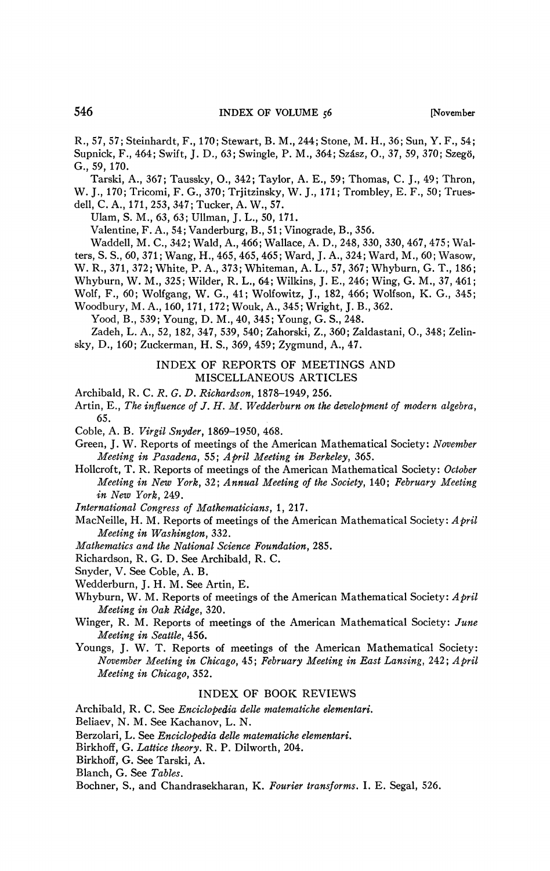R., 57, 57; Steinhardt, F., 170; Stewart, B. M., 244; Stone, M. H., 36; Sun, Y. F., 54; Supnick, F., 464; Swift, J. D., 63; Swingle, P. M., 364; Szâsz, O., 37, 59, 370; Szegö, G., 59, 170.

Tarski, A., 367; Taussky, O., 342; Taylor, A. E., 59; Thomas, C. J., 49; Thron, W. J., 170; Tricomi, F. G., 370; Trjitzinsky, W. J., 171; Trombley, E. F., 50; Truesdell, C. A., 171, 253, 347; Tucker, A. W., 57.

Ulam, S. M., 63, 63; Ullman, J. L., 50, 171.

Valentine, F. A., 54; Vanderburg, B., 51 ; Vinograde, B., 356.

Waddell, M. C, 342; Wald, A., 466; Wallace, A. D., 248, 330, 330, 467, 475; Walters, S. S, 60, 371; Wang, H., 465, 465, 465; Ward, J. A., 324; Ward, M., 60; Wasow, W. R., 371, 372; White, P. A., 373; Whiteman, A. L., 57, 367; Whyburn, G. T., 186;

Whyburn, W. M., 325; Wilder, R. L., 64; Wilkins, J. E., 246; Wing, G. M., 37, 461;

Wolf, F., 60; Wolfgang, W. G., 41; Wolfowitz, J., 182, 466; Wolfson, K. G., 345;

Woodbury, M. A., 160, 171, 172; Wouk, A., 345; Wright, J. B., 362.

Yood, B., 539; Young, D. M., 40, 345; Young, G. S., 248.

Zadeh, L. A., 52, 182, 347, 539, 540; Zahorski, Z., 360; Zaldastani, O., 348; Zelinsky, D., 160; Zuckerman, H. S., 369, 459; Zygmund, A., 47.

> INDEX OF REPORTS OF MEETINGS AND MISCELLANEOUS ARTICLES

Archibald, R. C. *R. G. D. Richardson,* 1878-1949, 256.

Ar tin, E., *The influence of J. H. M. Wedderburn on the development of modem algebra,*  65.

Coble, A. B. *Virgil Snyder,* 1869-1950, 468.

Green, J. W. Reports of meetings of the American Mathematical Society: *November Meeting in Pasadena,* 55; *April Meeting in Berkeley,* 365.

Hollcroft, T. R. Reports of meetings of the American Mathematical Society: *October Meeting in New York,* 32; *Annual Meeting of the Society,* 140; *February Meeting in New York,* 249.

*International Congress of Mathematicians,* 1, 217.

MacNeille, H. M. Reports of meetings of the American Mathematical Society: *April Meeting in Washington,* 332.

*Mathematics and the National Science Foundation,* 285.

Richardson, R. G. D. See Archibald, R. C.

Snyder, V. See Coble, A. B.

Wedderburn, J. H. M. See Artin, E.

Whyburn, W. M. Reports of meetings of the American Mathematical Society: *April Meeting in Oak Ridge,* 320.

- Winger, R. M. Reports of meetings of the American Mathematical Society: *June Meeting in Seattle,* 456.
- Youngs, J. W. T. Reports of meetings of the American Mathematical Society: *November Meeting in Chicago,* 45; *February Meeting in East Lansing,* 242; *April Meeting in Chicago,* 352.

### INDEX OF BOOK REVIEWS

Archibald, R. C. See *Enciclopedia delle matematiche elementari.* 

Beliaev, N. M. See Kachanov, L. N.

Berzolari, L. See *Enciclopedia delle matematiche elementari.* 

- Birkhoff, G. *Lattice theory.* R. P. Dilworth, 204.
- Birkhoff, G. See Tarski, A.

Blanch, G. See *Tables.* 

Bochner, S., and Chandrasekharan, K. *Fourier transforms.* I. E. Segal, 526.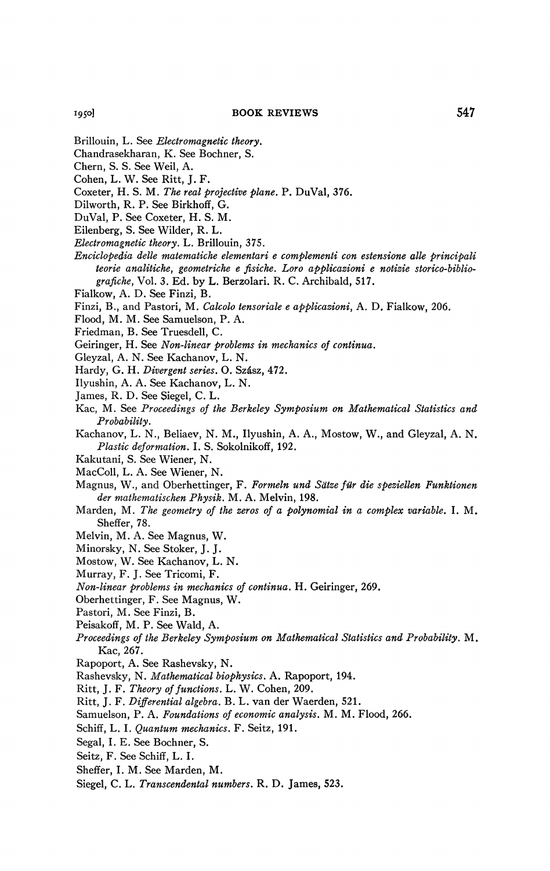- Brillouin, L. See *Electromagnetic theory.*
- Chandrasekharan, K. See Bochner, S.
- Chern, S. S. See Weil, A.
- Cohen, L. W. See Ritt, J. F.
- Coxeter, H. S. M. *The real projective plane.* P. DuVal, 376.
- Dilworth, R. P. See Birkhoff, G.
- DuVal, P. See Coxeter, H. S. M.
- Eilenberg, S. See Wilder, R. L.
- *Electromagnetic theory.* L. Brillouin, 375.
- *Enciclopedia delle matematiche elementari e complementi con estensione alle principali teorie analitiche, geometriche e fisiche. Loro applicazioni e notizie storico-bibliografiche,* Vol. 3. Ed. by L. Berzolari. R. C. Archibald, 517.
- Fialkow, A. D. See Finzi, B.
- Finzi, B., and Pastori, M. *Calcolo tensoriale e applicazioni,* A. D. Fialkow, 206.
- Flood, M. M. See Samuelson, P. A.
- Friedman, B. See Truesdell, C.
- Geiringer, H. See *Non-linear problems in mechanics of continua.*
- Gleyzal, A. N. See Kachanov, L. N.
- Hardy, G. H. *Divergent series.* O. Szâsz, 472.
- Ilyushin, A. A. See Kachanov, L. N.
- James, R. D. See Siegel, C. L.
- Kac, M. See *Proceedings of the Berkeley Symposium on Mathematical Statistics and Probability.*
- Kachanov, L. N., Beliaev, N. M., Ilyushin, A. A., Mostow, W., and Gleyzal, A. N. *Plastic deformation.* I. S. Sokolnikoff, 192.
- Kakutani, S. See Wiener, N.
- MacColl, L. A. See Wiener, N.
- Magnus, W., and Oberhettinger, F. *Formeln und Sdtze für die speziellen Funktionen der mathematischen Physik.* M. A. Melvin, 198.
- Marden, M. *The geometry of the zeros of a polynomial in a complex variable.* I. M. Sheffer, 78.
- Melvin, M. A. See Magnus, W.
- Minorsky, N. See Stoker, J.J.
- Mostow, W. See Kachanov, L. N.
- Murray, F. J. See Tricomi, F.
- *Non-linear problems in mechanics of continua.* H. Geiringer, 269.
- Oberhettinger, F. See Magnus, W.
- Pastori, M. See Finzi, B.
- Peisakoff, M. P. See Wald, A.
- *Proceedings of the Berkeley Symposium on Mathematical Statistics and Probability.* M. Kac, 267.
- Rapoport, A. See Rashevsky, N.
- Rashevsky, N. *Mathematical biophysics.* A. Rapoport, 194.
- Ritt, J. F. *Theory of functions.* L. W. Cohen, 209.
- Ritt, J. F. *Differential algebra.* B. L. van der Waerden, 521.
- Samuelson, P. A. *Foundations of economic analysis.* M. M. Flood, 266.
- Schiff, L. I. *Quantum mechanics.* F. Seitz, 191.
- Segal, I.E. See Bochner, S.
- Seitz, F. See Schiff, L. I.
- Sheffer, I. M. See Marden, M.
- Siegel, C. L. *Transcendental numbers.* R. D. James, 523.